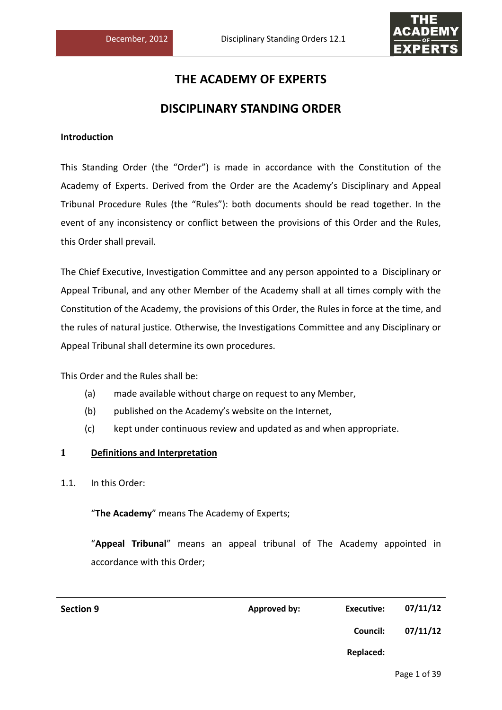

# **THE ACADEMY OF EXPERTS**

# **DISCIPLINARY STANDING ORDER**

# **Introduction**

This Standing Order (the "Order") is made in accordance with the Constitution of the Academy of Experts. Derived from the Order are the Academy's Disciplinary and Appeal Tribunal Procedure Rules (the "Rules"): both documents should be read together. In the event of any inconsistency or conflict between the provisions of this Order and the Rules, this Order shall prevail.

The Chief Executive, Investigation Committee and any person appointed to a Disciplinary or Appeal Tribunal, and any other Member of the Academy shall at all times comply with the Constitution of the Academy, the provisions of this Order, the Rules in force at the time, and the rules of natural justice. Otherwise, the Investigations Committee and any Disciplinary or Appeal Tribunal shall determine its own procedures.

This Order and the Rules shall be:

- (a) made available without charge on request to any Member,
- (b) published on the Academy's website on the Internet,
- (c) kept under continuous review and updated as and when appropriate.

# **1 Definitions and Interpretation**

1.1. In this Order:

"**The Academy**" means The Academy of Experts;

"**Appeal Tribunal**" means an appeal tribunal of The Academy appointed in accordance with this Order;

| <b>Section 9</b> | <b>Approved by:</b> | <b>Executive:</b> | 07/11/12 |
|------------------|---------------------|-------------------|----------|
|                  |                     | <b>Council:</b>   | 07/11/12 |
|                  |                     | Replaced:         |          |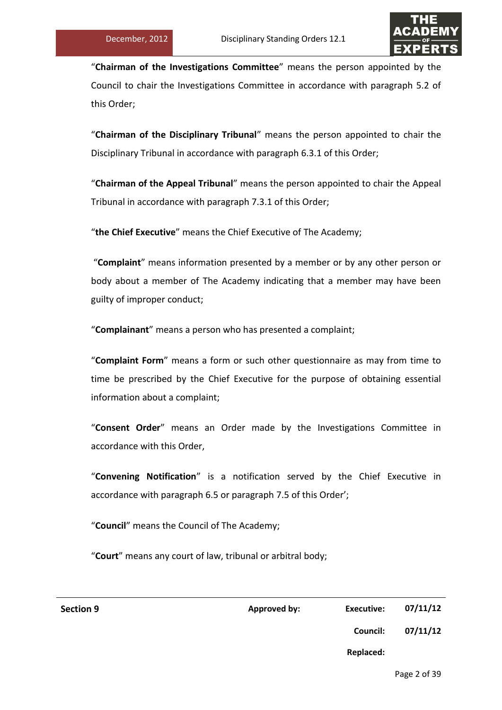

"**Chairman of the Investigations Committee**" means the person appointed by the Council to chair the Investigations Committee in accordance with paragraph 5.2 of this Order;

"**Chairman of the Disciplinary Tribunal**" means the person appointed to chair the Disciplinary Tribunal in accordance with paragraph 6.3.1 of this Order;

"**Chairman of the Appeal Tribunal**" means the person appointed to chair the Appeal Tribunal in accordance with paragraph 7.3.1 of this Order;

"**the Chief Executive**" means the Chief Executive of The Academy;

"**Complaint**" means information presented by a member or by any other person or body about a member of The Academy indicating that a member may have been guilty of improper conduct;

"**Complainant**" means a person who has presented a complaint;

"**Complaint Form**" means a form or such other questionnaire as may from time to time be prescribed by the Chief Executive for the purpose of obtaining essential information about a complaint;

"**Consent Order**" means an Order made by the Investigations Committee in accordance with this Order,

"**Convening Notification**" is a notification served by the Chief Executive in accordance with paragraph 6.5 or paragraph 7.5 of this Order';

"**Council**" means the Council of The Academy;

"**Court**" means any court of law, tribunal or arbitral body;

| <b>Section 9</b> | <b>Approved by:</b> | <b>Executive:</b> | 07/11/12 |
|------------------|---------------------|-------------------|----------|
|                  |                     | Council:          | 07/11/12 |
|                  |                     | <b>Replaced:</b>  |          |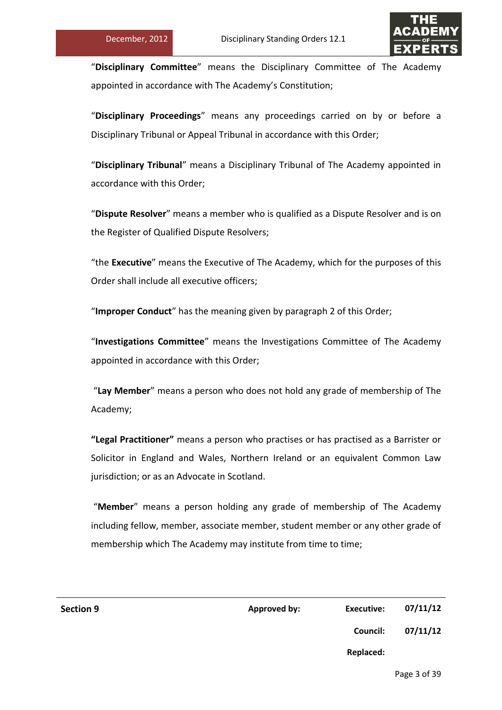

"**Disciplinary Committee**" means the Disciplinary Committee of The Academy appointed in accordance with The Academy's Constitution;

"**Disciplinary Proceedings**" means any proceedings carried on by or before a Disciplinary Tribunal or Appeal Tribunal in accordance with this Order;

"**Disciplinary Tribunal**" means a Disciplinary Tribunal of The Academy appointed in accordance with this Order;

"**Dispute Resolver**" means a member who is qualified as a Dispute Resolver and is on the Register of Qualified Dispute Resolvers;

"the **Executive**" means the Executive of The Academy, which for the purposes of this Order shall include all executive officers;

"**Improper Conduct**" has the meaning given by paragraph 2 of this Order;

"**Investigations Committee**" means the Investigations Committee of The Academy appointed in accordance with this Order;

"**Lay Member**" means a person who does not hold any grade of membership of The Academy;

**"Legal Practitioner"** means a person who practises or has practised as a Barrister or Solicitor in England and Wales, Northern Ireland or an equivalent Common Law jurisdiction; or as an Advocate in Scotland.

"**Member**" means a person holding any grade of membership of The Academy including fellow, member, associate member, student member or any other grade of membership which The Academy may institute from time to time;

| <b>Section 9</b> | <b>Approved by:</b> | <b>Executive:</b> | 07/11/12 |
|------------------|---------------------|-------------------|----------|
|                  |                     | Council:          | 07/11/12 |
|                  |                     | Replaced:         |          |
|                  |                     |                   |          |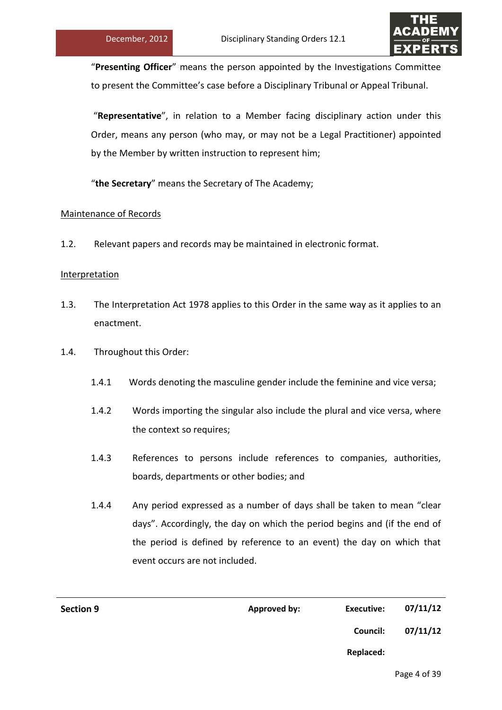

"**Presenting Officer**" means the person appointed by the Investigations Committee to present the Committee's case before a Disciplinary Tribunal or Appeal Tribunal.

"**Representative**", in relation to a Member facing disciplinary action under this Order, means any person (who may, or may not be a Legal Practitioner) appointed by the Member by written instruction to represent him;

"**the Secretary**" means the Secretary of The Academy;

# Maintenance of Records

1.2. Relevant papers and records may be maintained in electronic format.

# Interpretation

- 1.3. The Interpretation Act 1978 applies to this Order in the same way as it applies to an enactment.
- 1.4. Throughout this Order:
	- 1.4.1 Words denoting the masculine gender include the feminine and vice versa;
	- 1.4.2 Words importing the singular also include the plural and vice versa, where the context so requires;
	- 1.4.3 References to persons include references to companies, authorities, boards, departments or other bodies; and
	- 1.4.4 Any period expressed as a number of days shall be taken to mean "clear days". Accordingly, the day on which the period begins and (if the end of the period is defined by reference to an event) the day on which that event occurs are not included.

| 07/11/12 | Executive:      | Approved by: | <b>Section 9</b> |
|----------|-----------------|--------------|------------------|
| 07/11/12 | <b>Council:</b> |              |                  |
|          | Replaced:       |              |                  |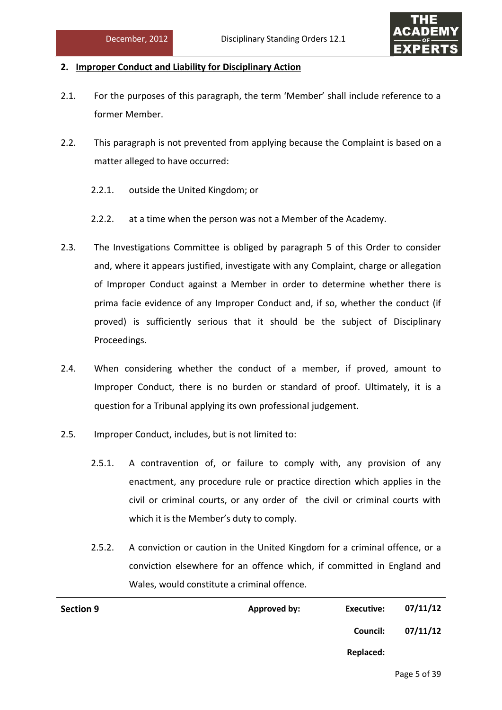

# **2. Improper Conduct and Liability for Disciplinary Action**

- 2.1. For the purposes of this paragraph, the term 'Member' shall include reference to a former Member.
- 2.2. This paragraph is not prevented from applying because the Complaint is based on a matter alleged to have occurred:
	- 2.2.1. outside the United Kingdom; or
	- 2.2.2. at a time when the person was not a Member of the Academy.
- 2.3. The Investigations Committee is obliged by paragraph 5 of this Order to consider and, where it appears justified, investigate with any Complaint, charge or allegation of Improper Conduct against a Member in order to determine whether there is prima facie evidence of any Improper Conduct and, if so, whether the conduct (if proved) is sufficiently serious that it should be the subject of Disciplinary Proceedings.
- 2.4. When considering whether the conduct of a member, if proved, amount to Improper Conduct, there is no burden or standard of proof. Ultimately, it is a question for a Tribunal applying its own professional judgement.
- 2.5. Improper Conduct, includes, but is not limited to:
	- 2.5.1. A contravention of, or failure to comply with, any provision of any enactment, any procedure rule or practice direction which applies in the civil or criminal courts, or any order of the civil or criminal courts with which it is the Member's duty to comply.
	- 2.5.2. A conviction or caution in the United Kingdom for a criminal offence, or a conviction elsewhere for an offence which, if committed in England and Wales, would constitute a criminal offence.

| Approved by: | <b>Executive:</b> | 07/11/12 |
|--------------|-------------------|----------|
|              | <b>Council:</b>   | 07/11/12 |
|              | Replaced:         |          |
|              |                   |          |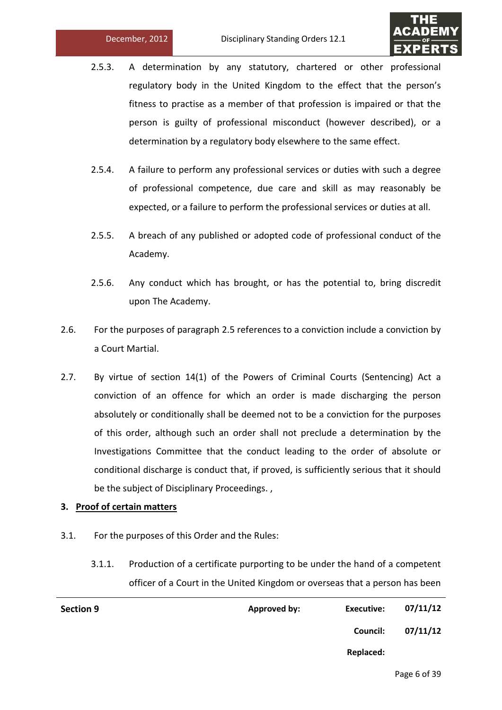

- 2.5.3. A determination by any statutory, chartered or other professional regulatory body in the United Kingdom to the effect that the person's fitness to practise as a member of that profession is impaired or that the person is guilty of professional misconduct (however described), or a determination by a regulatory body elsewhere to the same effect.
- 2.5.4. A failure to perform any professional services or duties with such a degree of professional competence, due care and skill as may reasonably be expected, or a failure to perform the professional services or duties at all.
- 2.5.5. A breach of any published or adopted code of professional conduct of the Academy.
- 2.5.6. Any conduct which has brought, or has the potential to, bring discredit upon The Academy.
- 2.6. For the purposes of paragraph 2.5 references to a conviction include a conviction by a Court Martial.
- 2.7. By virtue of section 14(1) of the Powers of Criminal Courts (Sentencing) Act a conviction of an offence for which an order is made discharging the person absolutely or conditionally shall be deemed not to be a conviction for the purposes of this order, although such an order shall not preclude a determination by the Investigations Committee that the conduct leading to the order of absolute or conditional discharge is conduct that, if proved, is sufficiently serious that it should be the subject of Disciplinary Proceedings. ,

# **3. Proof of certain matters**

- 3.1. For the purposes of this Order and the Rules:
	- 3.1.1. Production of a certificate purporting to be under the hand of a competent officer of a Court in the United Kingdom or overseas that a person has been

| <b>Section 9</b> | <b>Approved by:</b> | <b>Executive:</b> | 07/11/12 |
|------------------|---------------------|-------------------|----------|
|                  |                     | Council:          | 07/11/12 |
|                  |                     | Replaced:         |          |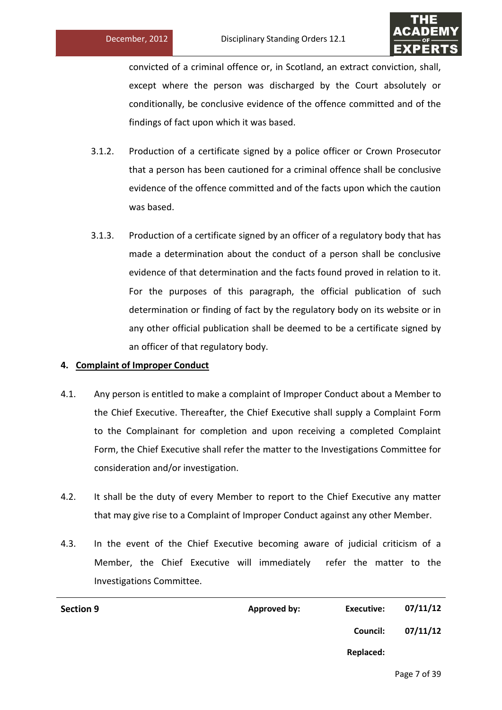

convicted of a criminal offence or, in Scotland, an extract conviction, shall, except where the person was discharged by the Court absolutely or conditionally, be conclusive evidence of the offence committed and of the findings of fact upon which it was based.

- 3.1.2. Production of a certificate signed by a police officer or Crown Prosecutor that a person has been cautioned for a criminal offence shall be conclusive evidence of the offence committed and of the facts upon which the caution was based.
- 3.1.3. Production of a certificate signed by an officer of a regulatory body that has made a determination about the conduct of a person shall be conclusive evidence of that determination and the facts found proved in relation to it. For the purposes of this paragraph, the official publication of such determination or finding of fact by the regulatory body on its website or in any other official publication shall be deemed to be a certificate signed by an officer of that regulatory body.

# **4. Complaint of Improper Conduct**

- 4.1. Any person is entitled to make a complaint of Improper Conduct about a Member to the Chief Executive. Thereafter, the Chief Executive shall supply a Complaint Form to the Complainant for completion and upon receiving a completed Complaint Form, the Chief Executive shall refer the matter to the Investigations Committee for consideration and/or investigation.
- 4.2. It shall be the duty of every Member to report to the Chief Executive any matter that may give rise to a Complaint of Improper Conduct against any other Member.
- 4.3. In the event of the Chief Executive becoming aware of judicial criticism of a Member, the Chief Executive will immediately refer the matter to the Investigations Committee.

| <b>Section 9</b> | Approved by: | Executive: | 07/11/12 |
|------------------|--------------|------------|----------|
|                  |              | Council:   | 07/11/12 |
|                  |              | Replaced:  |          |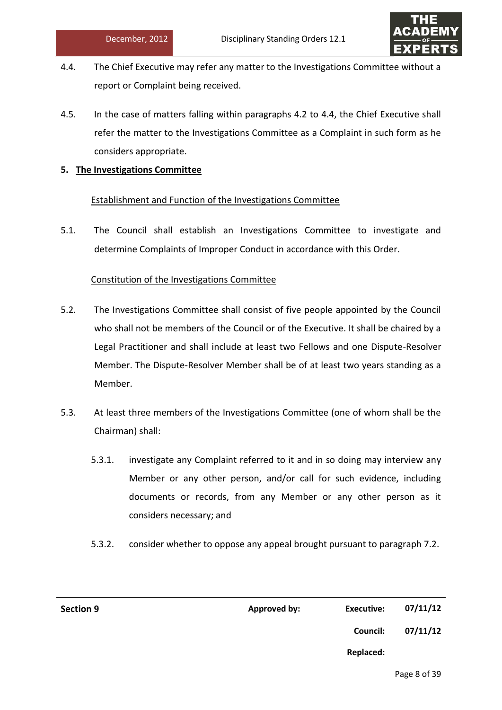

- 4.4. The Chief Executive may refer any matter to the Investigations Committee without a report or Complaint being received.
- 4.5. In the case of matters falling within paragraphs 4.2 to 4.4, the Chief Executive shall refer the matter to the Investigations Committee as a Complaint in such form as he considers appropriate.

# **5. The Investigations Committee**

# Establishment and Function of the Investigations Committee

5.1. The Council shall establish an Investigations Committee to investigate and determine Complaints of Improper Conduct in accordance with this Order.

# Constitution of the Investigations Committee

- 5.2. The Investigations Committee shall consist of five people appointed by the Council who shall not be members of the Council or of the Executive. It shall be chaired by a Legal Practitioner and shall include at least two Fellows and one Dispute-Resolver Member. The Dispute-Resolver Member shall be of at least two years standing as a Member.
- 5.3. At least three members of the Investigations Committee (one of whom shall be the Chairman) shall:
	- 5.3.1. investigate any Complaint referred to it and in so doing may interview any Member or any other person, and/or call for such evidence, including documents or records, from any Member or any other person as it considers necessary; and
	- 5.3.2. consider whether to oppose any appeal brought pursuant to paragraph 7.2.

| <b>Section 9</b> | <b>Approved by:</b> | <b>Executive:</b> | 07/11/12 |
|------------------|---------------------|-------------------|----------|
|                  |                     | <b>Council:</b>   | 07/11/12 |
|                  |                     | Replaced:         |          |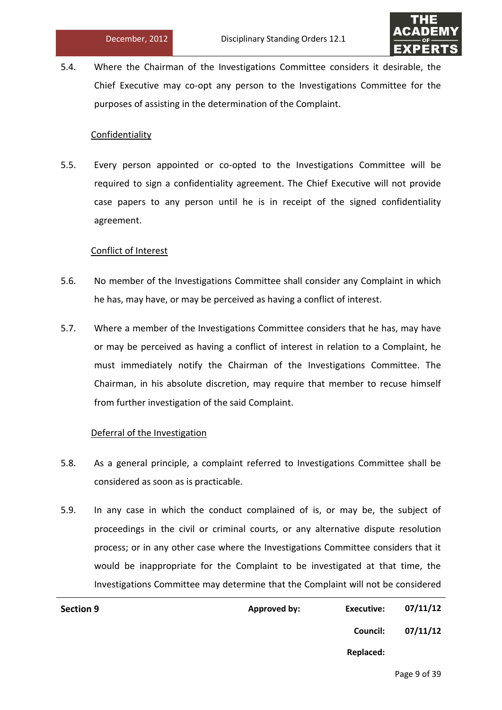

5.4. Where the Chairman of the Investigations Committee considers it desirable, the Chief Executive may co-opt any person to the Investigations Committee for the purposes of assisting in the determination of the Complaint.

### Confidentiality

5.5. Every person appointed or co-opted to the Investigations Committee will be required to sign a confidentiality agreement. The Chief Executive will not provide case papers to any person until he is in receipt of the signed confidentiality agreement.

# Conflict of Interest

- 5.6. No member of the Investigations Committee shall consider any Complaint in which he has, may have, or may be perceived as having a conflict of interest.
- 5.7. Where a member of the Investigations Committee considers that he has, may have or may be perceived as having a conflict of interest in relation to a Complaint, he must immediately notify the Chairman of the Investigations Committee. The Chairman, in his absolute discretion, may require that member to recuse himself from further investigation of the said Complaint.

# Deferral of the Investigation

- 5.8. As a general principle, a complaint referred to Investigations Committee shall be considered as soon as is practicable.
- 5.9. In any case in which the conduct complained of is, or may be, the subject of proceedings in the civil or criminal courts, or any alternative dispute resolution process; or in any other case where the Investigations Committee considers that it would be inappropriate for the Complaint to be investigated at that time, the Investigations Committee may determine that the Complaint will not be considered

| <b>Section 9</b> | <b>Approved by:</b> | <b>Executive:</b> | 07/11/12 |
|------------------|---------------------|-------------------|----------|
|                  |                     | Council:          | 07/11/12 |
|                  |                     | Replaced:         |          |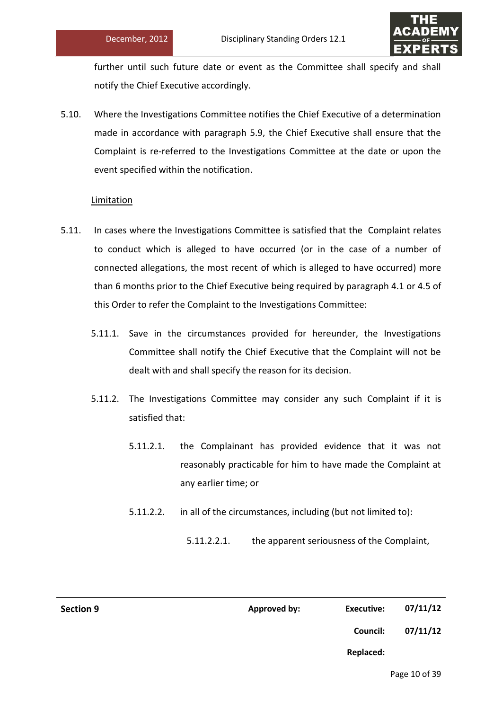

further until such future date or event as the Committee shall specify and shall notify the Chief Executive accordingly.

5.10. Where the Investigations Committee notifies the Chief Executive of a determination made in accordance with paragraph 5.9, the Chief Executive shall ensure that the Complaint is re-referred to the Investigations Committee at the date or upon the event specified within the notification.

# Limitation

- 5.11. In cases where the Investigations Committee is satisfied that the Complaint relates to conduct which is alleged to have occurred (or in the case of a number of connected allegations, the most recent of which is alleged to have occurred) more than 6 months prior to the Chief Executive being required by paragraph 4.1 or 4.5 of this Order to refer the Complaint to the Investigations Committee:
	- 5.11.1. Save in the circumstances provided for hereunder, the Investigations Committee shall notify the Chief Executive that the Complaint will not be dealt with and shall specify the reason for its decision.
	- 5.11.2. The Investigations Committee may consider any such Complaint if it is satisfied that:
		- 5.11.2.1. the Complainant has provided evidence that it was not reasonably practicable for him to have made the Complaint at any earlier time; or
		- 5.11.2.2. in all of the circumstances, including (but not limited to):
			- 5.11.2.2.1. the apparent seriousness of the Complaint,

| <b>Section 9</b> | <b>Approved by:</b> | <b>Executive:</b> | 07/11/12 |
|------------------|---------------------|-------------------|----------|
|                  |                     | Council:          | 07/11/12 |
|                  |                     | <b>Replaced:</b>  |          |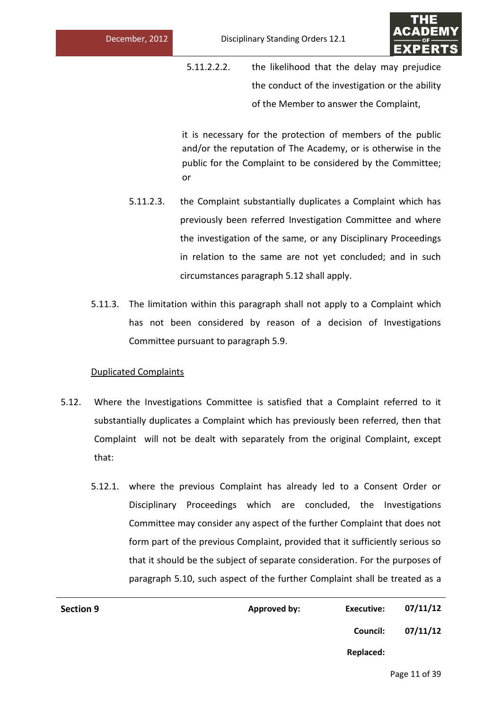

5.11.2.2.2. the likelihood that the delay may prejudice the conduct of the investigation or the ability of the Member to answer the Complaint,

it is necessary for the protection of members of the public and/or the reputation of The Academy, or is otherwise in the public for the Complaint to be considered by the Committee; or

- 5.11.2.3. the Complaint substantially duplicates a Complaint which has previously been referred Investigation Committee and where the investigation of the same, or any Disciplinary Proceedings in relation to the same are not yet concluded; and in such circumstances paragraph 5.12 shall apply.
- 5.11.3. The limitation within this paragraph shall not apply to a Complaint which has not been considered by reason of a decision of Investigations Committee pursuant to paragraph 5.9.

# Duplicated Complaints

- 5.12. Where the Investigations Committee is satisfied that a Complaint referred to it substantially duplicates a Complaint which has previously been referred, then that Complaint will not be dealt with separately from the original Complaint, except that:
	- 5.12.1. where the previous Complaint has already led to a Consent Order or Disciplinary Proceedings which are concluded, the Investigations Committee may consider any aspect of the further Complaint that does not form part of the previous Complaint, provided that it sufficiently serious so that it should be the subject of separate consideration. For the purposes of paragraph 5.10, such aspect of the further Complaint shall be treated as a

| <b>Section 9</b> | Approved by: | Executive:      | 07/11/12 |
|------------------|--------------|-----------------|----------|
|                  |              | <b>Council:</b> | 07/11/12 |
|                  |              | Replaced:       |          |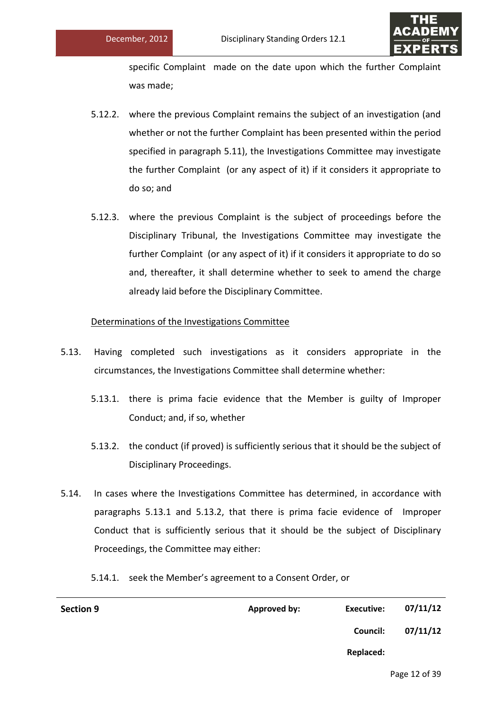

specific Complaint made on the date upon which the further Complaint was made;

- 5.12.2. where the previous Complaint remains the subject of an investigation (and whether or not the further Complaint has been presented within the period specified in paragraph 5.11), the Investigations Committee may investigate the further Complaint (or any aspect of it) if it considers it appropriate to do so; and
- 5.12.3. where the previous Complaint is the subject of proceedings before the Disciplinary Tribunal, the Investigations Committee may investigate the further Complaint (or any aspect of it) if it considers it appropriate to do so and, thereafter, it shall determine whether to seek to amend the charge already laid before the Disciplinary Committee.

# Determinations of the Investigations Committee

- 5.13. Having completed such investigations as it considers appropriate in the circumstances, the Investigations Committee shall determine whether:
	- 5.13.1. there is prima facie evidence that the Member is guilty of Improper Conduct; and, if so, whether
	- 5.13.2. the conduct (if proved) is sufficiently serious that it should be the subject of Disciplinary Proceedings.
- 5.14. In cases where the Investigations Committee has determined, in accordance with paragraphs 5.13.1 and 5.13.2, that there is prima facie evidence of Improper Conduct that is sufficiently serious that it should be the subject of Disciplinary Proceedings, the Committee may either:

5.14.1. seek the Member's agreement to a Consent Order, or

| <b>Section 9</b> | Approved by: | Executive: | 07/11/12 |
|------------------|--------------|------------|----------|
|                  |              | Council:   | 07/11/12 |
|                  |              | Replaced:  |          |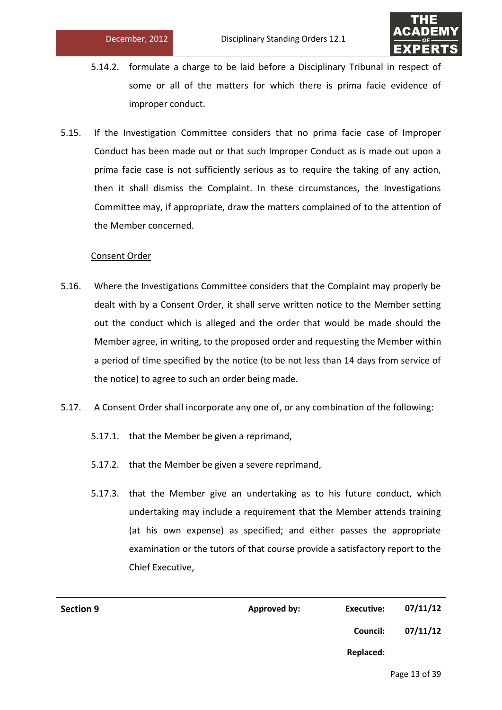

- 5.14.2. formulate a charge to be laid before a Disciplinary Tribunal in respect of some or all of the matters for which there is prima facie evidence of improper conduct.
- 5.15. If the Investigation Committee considers that no prima facie case of Improper Conduct has been made out or that such Improper Conduct as is made out upon a prima facie case is not sufficiently serious as to require the taking of any action, then it shall dismiss the Complaint. In these circumstances, the Investigations Committee may, if appropriate, draw the matters complained of to the attention of the Member concerned.

# Consent Order

- 5.16. Where the Investigations Committee considers that the Complaint may properly be dealt with by a Consent Order, it shall serve written notice to the Member setting out the conduct which is alleged and the order that would be made should the Member agree, in writing, to the proposed order and requesting the Member within a period of time specified by the notice (to be not less than 14 days from service of the notice) to agree to such an order being made.
- 5.17. A Consent Order shall incorporate any one of, or any combination of the following:
	- 5.17.1. that the Member be given a reprimand,
	- 5.17.2. that the Member be given a severe reprimand,
	- 5.17.3. that the Member give an undertaking as to his future conduct, which undertaking may include a requirement that the Member attends training (at his own expense) as specified; and either passes the appropriate examination or the tutors of that course provide a satisfactory report to the Chief Executive,

| 07/11/12 | Executive: | Approved by: | <b>Section 9</b> |
|----------|------------|--------------|------------------|
| 07/11/12 | Council:   |              |                  |
|          | Replaced:  |              |                  |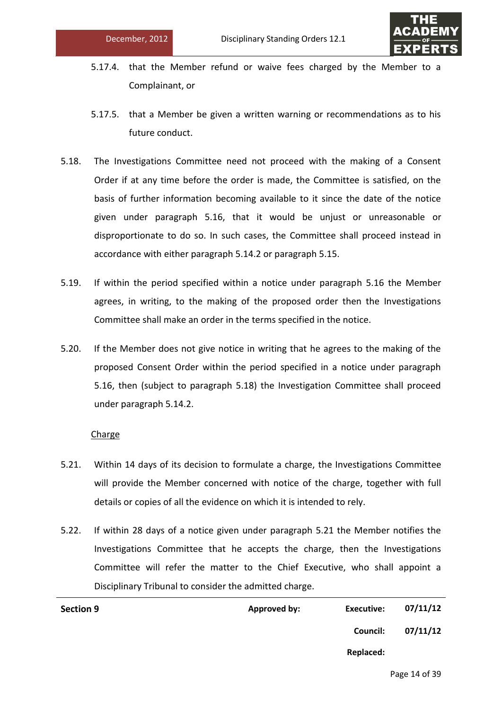

- 5.17.4. that the Member refund or waive fees charged by the Member to a Complainant, or
- 5.17.5. that a Member be given a written warning or recommendations as to his future conduct.
- 5.18. The Investigations Committee need not proceed with the making of a Consent Order if at any time before the order is made, the Committee is satisfied, on the basis of further information becoming available to it since the date of the notice given under paragraph 5.16, that it would be unjust or unreasonable or disproportionate to do so. In such cases, the Committee shall proceed instead in accordance with either paragraph 5.14.2 or paragraph 5.15.
- 5.19. If within the period specified within a notice under paragraph 5.16 the Member agrees, in writing, to the making of the proposed order then the Investigations Committee shall make an order in the terms specified in the notice.
- 5.20. If the Member does not give notice in writing that he agrees to the making of the proposed Consent Order within the period specified in a notice under paragraph 5.16, then (subject to paragraph 5.18) the Investigation Committee shall proceed under paragraph 5.14.2.

# Charge

- 5.21. Within 14 days of its decision to formulate a charge, the Investigations Committee will provide the Member concerned with notice of the charge, together with full details or copies of all the evidence on which it is intended to rely.
- 5.22. If within 28 days of a notice given under paragraph 5.21 the Member notifies the Investigations Committee that he accepts the charge, then the Investigations Committee will refer the matter to the Chief Executive, who shall appoint a Disciplinary Tribunal to consider the admitted charge.

| <b>Section 9</b> | Approved by: | Executive: | 07/11/12 |
|------------------|--------------|------------|----------|
|                  |              | Council:   | 07/11/12 |
|                  |              | Replaced:  |          |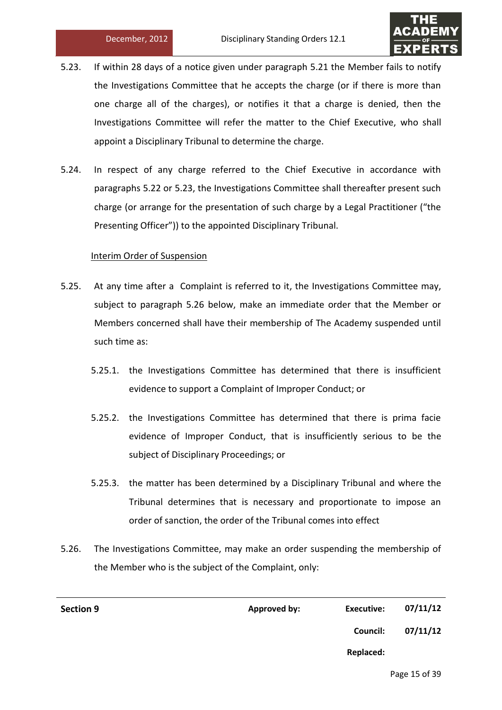

- 5.23. If within 28 days of a notice given under paragraph 5.21 the Member fails to notify the Investigations Committee that he accepts the charge (or if there is more than one charge all of the charges), or notifies it that a charge is denied, then the Investigations Committee will refer the matter to the Chief Executive, who shall appoint a Disciplinary Tribunal to determine the charge.
- 5.24. In respect of any charge referred to the Chief Executive in accordance with paragraphs 5.22 or 5.23, the Investigations Committee shall thereafter present such charge (or arrange for the presentation of such charge by a Legal Practitioner ("the Presenting Officer")) to the appointed Disciplinary Tribunal.

# Interim Order of Suspension

- 5.25. At any time after a Complaint is referred to it, the Investigations Committee may, subject to paragraph 5.26 below, make an immediate order that the Member or Members concerned shall have their membership of The Academy suspended until such time as:
	- 5.25.1. the Investigations Committee has determined that there is insufficient evidence to support a Complaint of Improper Conduct; or
	- 5.25.2. the Investigations Committee has determined that there is prima facie evidence of Improper Conduct, that is insufficiently serious to be the subject of Disciplinary Proceedings; or
	- 5.25.3. the matter has been determined by a Disciplinary Tribunal and where the Tribunal determines that is necessary and proportionate to impose an order of sanction, the order of the Tribunal comes into effect
- 5.26. The Investigations Committee, may make an order suspending the membership of the Member who is the subject of the Complaint, only:

| <b>Section 9</b> | Approved by: | Executive: | 07/11/12 |
|------------------|--------------|------------|----------|
|                  |              | Council:   | 07/11/12 |
|                  |              | Replaced:  |          |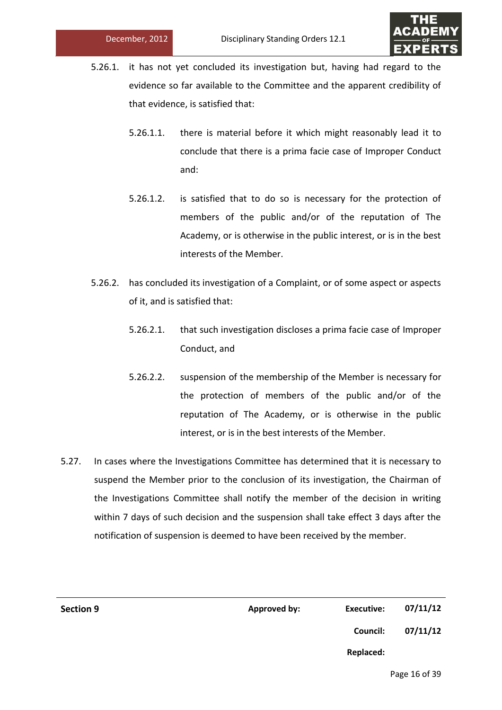

- 5.26.1. it has not yet concluded its investigation but, having had regard to the evidence so far available to the Committee and the apparent credibility of that evidence, is satisfied that:
	- 5.26.1.1. there is material before it which might reasonably lead it to conclude that there is a prima facie case of Improper Conduct and:
	- 5.26.1.2. is satisfied that to do so is necessary for the protection of members of the public and/or of the reputation of The Academy, or is otherwise in the public interest, or is in the best interests of the Member.
- 5.26.2. has concluded its investigation of a Complaint, or of some aspect or aspects of it, and is satisfied that:
	- 5.26.2.1. that such investigation discloses a prima facie case of Improper Conduct, and
	- 5.26.2.2. suspension of the membership of the Member is necessary for the protection of members of the public and/or of the reputation of The Academy, or is otherwise in the public interest, or is in the best interests of the Member.
- 5.27. In cases where the Investigations Committee has determined that it is necessary to suspend the Member prior to the conclusion of its investigation, the Chairman of the Investigations Committee shall notify the member of the decision in writing within 7 days of such decision and the suspension shall take effect 3 days after the notification of suspension is deemed to have been received by the member.

| <b>Section 9</b> | <b>Approved by:</b> | <b>Executive:</b> | 07/11/12 |
|------------------|---------------------|-------------------|----------|
|                  |                     | Council:          | 07/11/12 |
|                  |                     | Replaced:         |          |
|                  |                     |                   |          |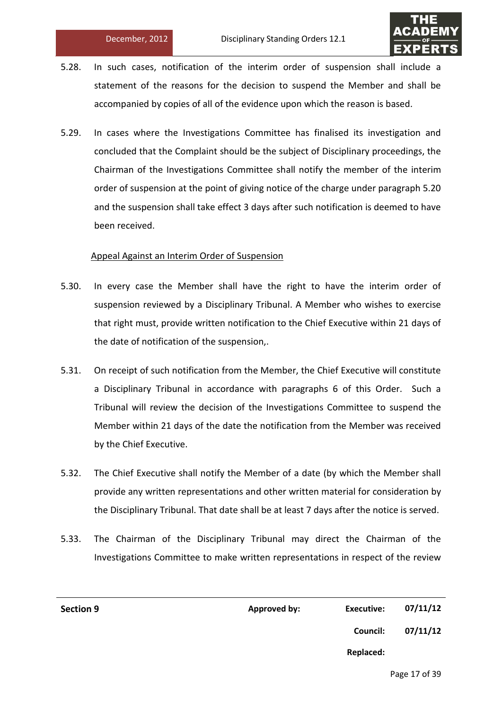

- 5.28. In such cases, notification of the interim order of suspension shall include a statement of the reasons for the decision to suspend the Member and shall be accompanied by copies of all of the evidence upon which the reason is based.
- 5.29. In cases where the Investigations Committee has finalised its investigation and concluded that the Complaint should be the subject of Disciplinary proceedings, the Chairman of the Investigations Committee shall notify the member of the interim order of suspension at the point of giving notice of the charge under paragraph 5.20 and the suspension shall take effect 3 days after such notification is deemed to have been received.

# Appeal Against an Interim Order of Suspension

- 5.30. In every case the Member shall have the right to have the interim order of suspension reviewed by a Disciplinary Tribunal. A Member who wishes to exercise that right must, provide written notification to the Chief Executive within 21 days of the date of notification of the suspension,.
- 5.31. On receipt of such notification from the Member, the Chief Executive will constitute a Disciplinary Tribunal in accordance with paragraphs 6 of this Order. Such a Tribunal will review the decision of the Investigations Committee to suspend the Member within 21 days of the date the notification from the Member was received by the Chief Executive.
- 5.32. The Chief Executive shall notify the Member of a date (by which the Member shall provide any written representations and other written material for consideration by the Disciplinary Tribunal. That date shall be at least 7 days after the notice is served.
- 5.33. The Chairman of the Disciplinary Tribunal may direct the Chairman of the Investigations Committee to make written representations in respect of the review

| <b>Section 9</b> | <b>Approved by:</b> | Executive: | 07/11/12 |
|------------------|---------------------|------------|----------|
|                  |                     | Council:   | 07/11/12 |
|                  |                     | Replaced:  |          |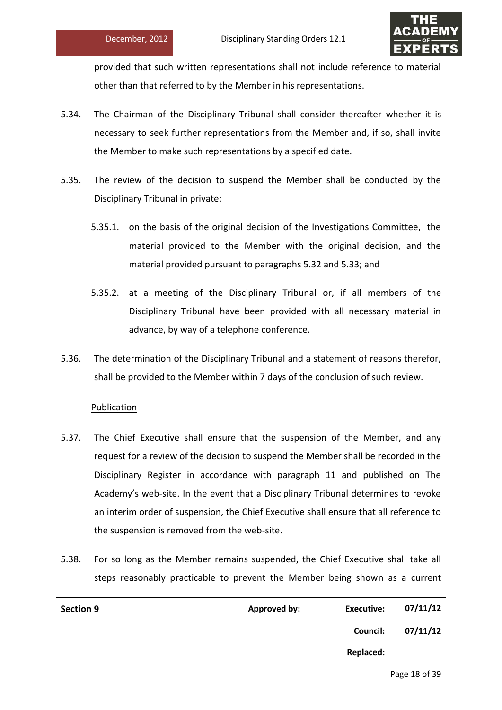

provided that such written representations shall not include reference to material other than that referred to by the Member in his representations.

- 5.34. The Chairman of the Disciplinary Tribunal shall consider thereafter whether it is necessary to seek further representations from the Member and, if so, shall invite the Member to make such representations by a specified date.
- 5.35. The review of the decision to suspend the Member shall be conducted by the Disciplinary Tribunal in private:
	- 5.35.1. on the basis of the original decision of the Investigations Committee, the material provided to the Member with the original decision, and the material provided pursuant to paragraphs 5.32 and 5.33; and
	- 5.35.2. at a meeting of the Disciplinary Tribunal or, if all members of the Disciplinary Tribunal have been provided with all necessary material in advance, by way of a telephone conference.
- 5.36. The determination of the Disciplinary Tribunal and a statement of reasons therefor, shall be provided to the Member within 7 days of the conclusion of such review.

# **Publication**

- 5.37. The Chief Executive shall ensure that the suspension of the Member, and any request for a review of the decision to suspend the Member shall be recorded in the Disciplinary Register in accordance with paragraph 11 and published on The Academy's web-site. In the event that a Disciplinary Tribunal determines to revoke an interim order of suspension, the Chief Executive shall ensure that all reference to the suspension is removed from the web-site.
- 5.38. For so long as the Member remains suspended, the Chief Executive shall take all steps reasonably practicable to prevent the Member being shown as a current

| <b>Section 9</b> | Approved by: | Executive: | 07/11/12 |
|------------------|--------------|------------|----------|
|                  |              | Council:   | 07/11/12 |
|                  |              | Replaced:  |          |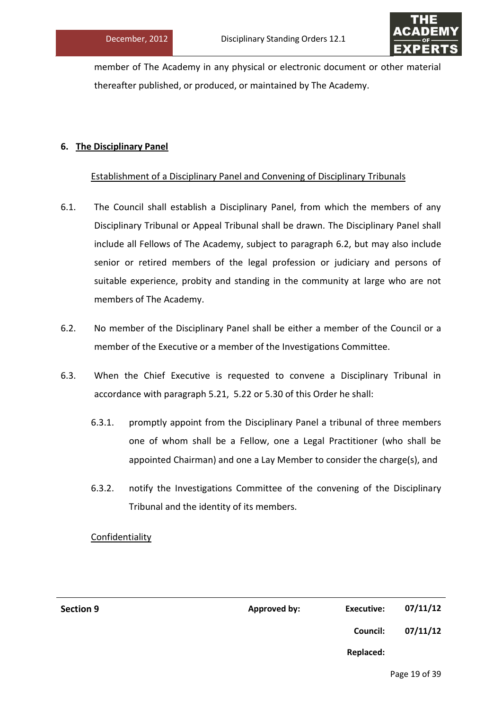

member of The Academy in any physical or electronic document or other material thereafter published, or produced, or maintained by The Academy.

# **6. The Disciplinary Panel**

# Establishment of a Disciplinary Panel and Convening of Disciplinary Tribunals

- 6.1. The Council shall establish a Disciplinary Panel, from which the members of any Disciplinary Tribunal or Appeal Tribunal shall be drawn. The Disciplinary Panel shall include all Fellows of The Academy, subject to paragraph 6.2, but may also include senior or retired members of the legal profession or judiciary and persons of suitable experience, probity and standing in the community at large who are not members of The Academy.
- 6.2. No member of the Disciplinary Panel shall be either a member of the Council or a member of the Executive or a member of the Investigations Committee.
- 6.3. When the Chief Executive is requested to convene a Disciplinary Tribunal in accordance with paragraph 5.21, 5.22 or 5.30 of this Order he shall:
	- 6.3.1. promptly appoint from the Disciplinary Panel a tribunal of three members one of whom shall be a Fellow, one a Legal Practitioner (who shall be appointed Chairman) and one a Lay Member to consider the charge(s), and
	- 6.3.2. notify the Investigations Committee of the convening of the Disciplinary Tribunal and the identity of its members.

# Confidentiality

| <b>Section 9</b> | Approved by: | Executive: | 07/11/12 |
|------------------|--------------|------------|----------|
|                  |              | Council:   | 07/11/12 |

**Replaced:**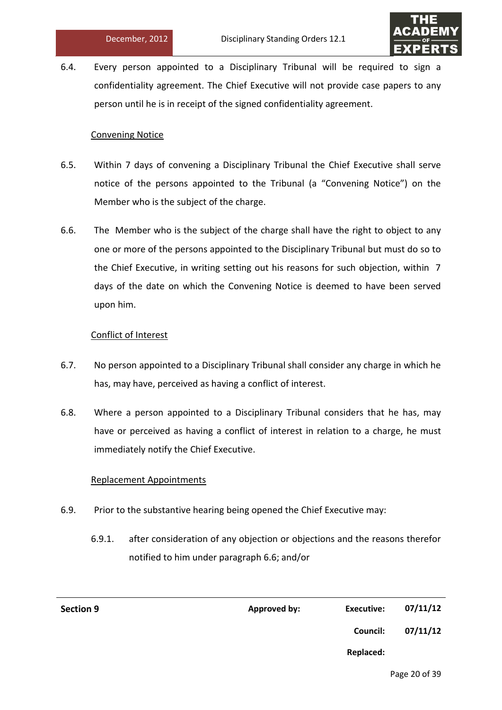

6.4. Every person appointed to a Disciplinary Tribunal will be required to sign a confidentiality agreement. The Chief Executive will not provide case papers to any person until he is in receipt of the signed confidentiality agreement.

### Convening Notice

- 6.5. Within 7 days of convening a Disciplinary Tribunal the Chief Executive shall serve notice of the persons appointed to the Tribunal (a "Convening Notice") on the Member who is the subject of the charge.
- 6.6. The Member who is the subject of the charge shall have the right to object to any one or more of the persons appointed to the Disciplinary Tribunal but must do so to the Chief Executive, in writing setting out his reasons for such objection, within 7 days of the date on which the Convening Notice is deemed to have been served upon him.

# Conflict of Interest

- 6.7. No person appointed to a Disciplinary Tribunal shall consider any charge in which he has, may have, perceived as having a conflict of interest.
- 6.8. Where a person appointed to a Disciplinary Tribunal considers that he has, may have or perceived as having a conflict of interest in relation to a charge, he must immediately notify the Chief Executive.

# Replacement Appointments

- 6.9. Prior to the substantive hearing being opened the Chief Executive may:
	- 6.9.1. after consideration of any objection or objections and the reasons therefor notified to him under paragraph 6.6; and/or

| <b>Section 9</b> | <b>Approved by:</b> | Executive:       | 07/11/12 |
|------------------|---------------------|------------------|----------|
|                  |                     | Council:         | 07/11/12 |
|                  |                     | <b>Replaced:</b> |          |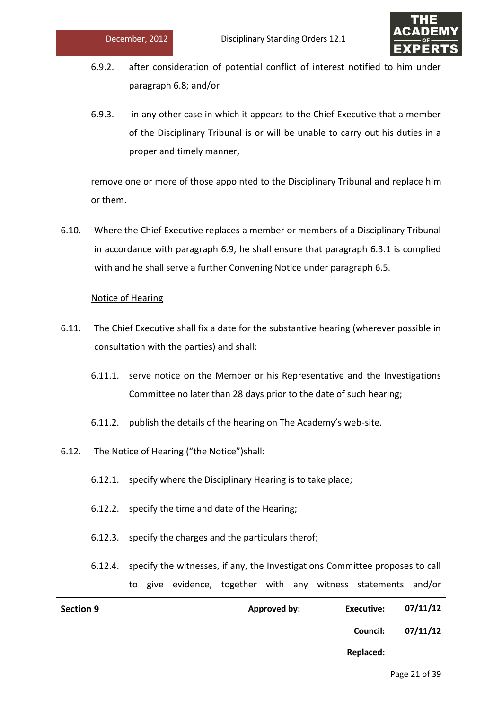

- 6.9.2. after consideration of potential conflict of interest notified to him under paragraph 6.8; and/or
- 6.9.3. in any other case in which it appears to the Chief Executive that a member of the Disciplinary Tribunal is or will be unable to carry out his duties in a proper and timely manner,

remove one or more of those appointed to the Disciplinary Tribunal and replace him or them.

6.10. Where the Chief Executive replaces a member or members of a Disciplinary Tribunal in accordance with paragraph 6.9, he shall ensure that paragraph 6.3.1 is complied with and he shall serve a further Convening Notice under paragraph 6.5.

# Notice of Hearing

- 6.11. The Chief Executive shall fix a date for the substantive hearing (wherever possible in consultation with the parties) and shall:
	- 6.11.1. serve notice on the Member or his Representative and the Investigations Committee no later than 28 days prior to the date of such hearing;
	- 6.11.2. publish the details of the hearing on The Academy's web-site.
- 6.12. The Notice of Hearing ("the Notice")shall:
	- 6.12.1. specify where the Disciplinary Hearing is to take place;
	- 6.12.2. specify the time and date of the Hearing;
	- 6.12.3. specify the charges and the particulars therof;
	- 6.12.4. specify the witnesses, if any, the Investigations Committee proposes to call to give evidence, together with any witness statements and/or

| <b>Section 9</b> | <b>Approved by:</b> | Executive:       | 07/11/12 |
|------------------|---------------------|------------------|----------|
|                  |                     | Council:         | 07/11/12 |
|                  |                     | <b>Replaced:</b> |          |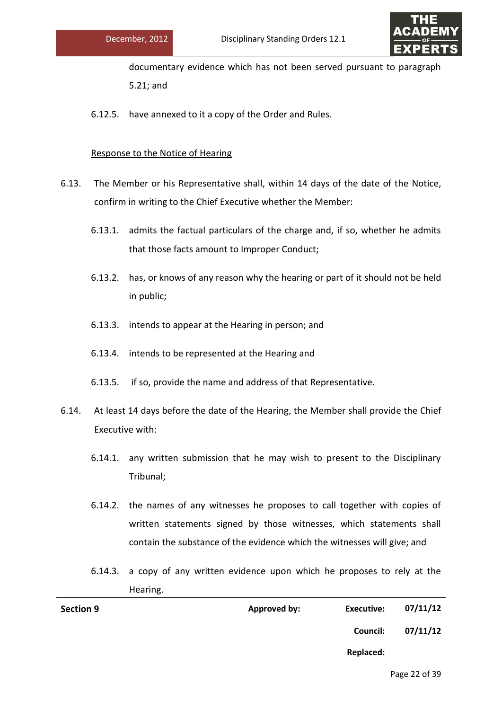

documentary evidence which has not been served pursuant to paragraph 5.21; and

6.12.5. have annexed to it a copy of the Order and Rules.

# Response to the Notice of Hearing

- 6.13. The Member or his Representative shall, within 14 days of the date of the Notice, confirm in writing to the Chief Executive whether the Member:
	- 6.13.1. admits the factual particulars of the charge and, if so, whether he admits that those facts amount to Improper Conduct;
	- 6.13.2. has, or knows of any reason why the hearing or part of it should not be held in public;
	- 6.13.3. intends to appear at the Hearing in person; and
	- 6.13.4. intends to be represented at the Hearing and
	- 6.13.5. if so, provide the name and address of that Representative.
- 6.14. At least 14 days before the date of the Hearing, the Member shall provide the Chief Executive with:
	- 6.14.1. any written submission that he may wish to present to the Disciplinary Tribunal;
	- 6.14.2. the names of any witnesses he proposes to call together with copies of written statements signed by those witnesses, which statements shall contain the substance of the evidence which the witnesses will give; and
	- 6.14.3. a copy of any written evidence upon which he proposes to rely at the Hearing.

| <b>Section 9</b> | Approved by: | Executive: | 07/11/12 |
|------------------|--------------|------------|----------|
|                  |              | Council:   | 07/11/12 |
|                  |              | Replaced:  |          |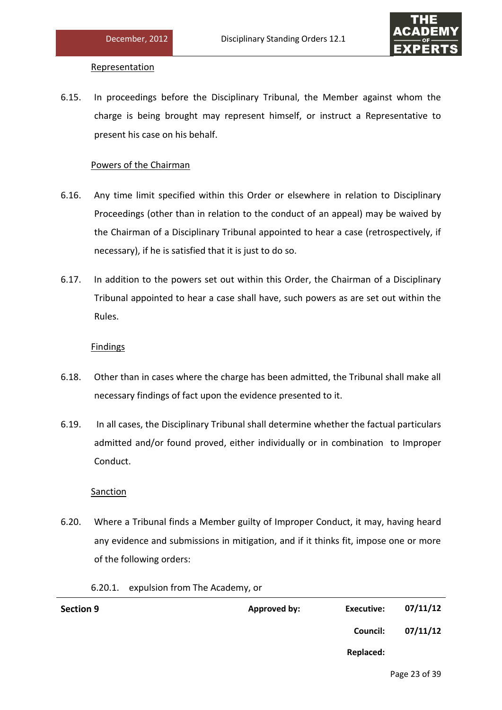

#### Representation

6.15. In proceedings before the Disciplinary Tribunal, the Member against whom the charge is being brought may represent himself, or instruct a Representative to present his case on his behalf.

# Powers of the Chairman

- 6.16. Any time limit specified within this Order or elsewhere in relation to Disciplinary Proceedings (other than in relation to the conduct of an appeal) may be waived by the Chairman of a Disciplinary Tribunal appointed to hear a case (retrospectively, if necessary), if he is satisfied that it is just to do so.
- 6.17. In addition to the powers set out within this Order, the Chairman of a Disciplinary Tribunal appointed to hear a case shall have, such powers as are set out within the Rules.

# Findings

- 6.18. Other than in cases where the charge has been admitted, the Tribunal shall make all necessary findings of fact upon the evidence presented to it.
- 6.19. In all cases, the Disciplinary Tribunal shall determine whether the factual particulars admitted and/or found proved, either individually or in combination to Improper Conduct.

# **Sanction**

- 6.20. Where a Tribunal finds a Member guilty of Improper Conduct, it may, having heard any evidence and submissions in mitigation, and if it thinks fit, impose one or more of the following orders:
	- 6.20.1. expulsion from The Academy, or

| 07/11/12 | Executive: | Approved by: | <b>Section 9</b> |
|----------|------------|--------------|------------------|
| 07/11/12 | Council:   |              |                  |
|          | Replaced:  |              |                  |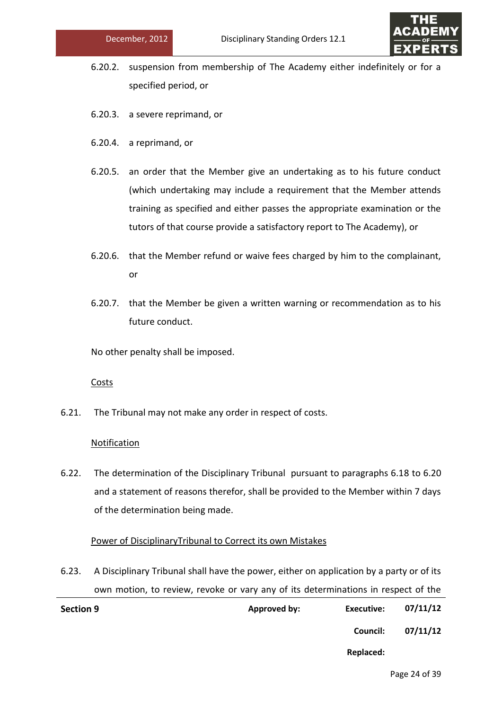

- 6.20.2. suspension from membership of The Academy either indefinitely or for a specified period, or
- 6.20.3. a severe reprimand, or
- 6.20.4. a reprimand, or
- 6.20.5. an order that the Member give an undertaking as to his future conduct (which undertaking may include a requirement that the Member attends training as specified and either passes the appropriate examination or the tutors of that course provide a satisfactory report to The Academy), or
- 6.20.6. that the Member refund or waive fees charged by him to the complainant, or
- 6.20.7. that the Member be given a written warning or recommendation as to his future conduct.

No other penalty shall be imposed.

Costs

6.21. The Tribunal may not make any order in respect of costs.

#### **Notification**

6.22. The determination of the Disciplinary Tribunal pursuant to paragraphs 6.18 to 6.20 and a statement of reasons therefor, shall be provided to the Member within 7 days of the determination being made.

#### Power of DisciplinaryTribunal to Correct its own Mistakes

6.23. A Disciplinary Tribunal shall have the power, either on application by a party or of its own motion, to review, revoke or vary any of its determinations in respect of the

| <b>Section 9</b> | Approved by: | Executive: | 07/11/12 |
|------------------|--------------|------------|----------|
|                  |              | Council:   | 07/11/12 |
|                  |              | Replaced:  |          |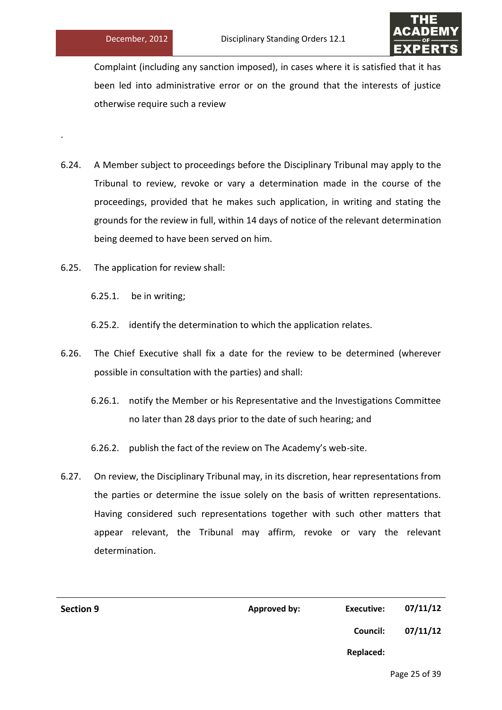.



Complaint (including any sanction imposed), in cases where it is satisfied that it has been led into administrative error or on the ground that the interests of justice otherwise require such a review

- 6.24. A Member subject to proceedings before the Disciplinary Tribunal may apply to the Tribunal to review, revoke or vary a determination made in the course of the proceedings, provided that he makes such application, in writing and stating the grounds for the review in full, within 14 days of notice of the relevant determination being deemed to have been served on him.
- 6.25. The application for review shall:

6.25.1. be in writing;

6.25.2. identify the determination to which the application relates.

- 6.26. The Chief Executive shall fix a date for the review to be determined (wherever possible in consultation with the parties) and shall:
	- 6.26.1. notify the Member or his Representative and the Investigations Committee no later than 28 days prior to the date of such hearing; and
	- 6.26.2. publish the fact of the review on The Academy's web-site.
- 6.27. On review, the Disciplinary Tribunal may, in its discretion, hear representations from the parties or determine the issue solely on the basis of written representations. Having considered such representations together with such other matters that appear relevant, the Tribunal may affirm, revoke or vary the relevant determination.

| <b>Section 9</b> | Approved by: | <b>Executive:</b> | 07/11/12 |
|------------------|--------------|-------------------|----------|
|                  |              | Council:          | 07/11/12 |
|                  |              | <b>Replaced:</b>  |          |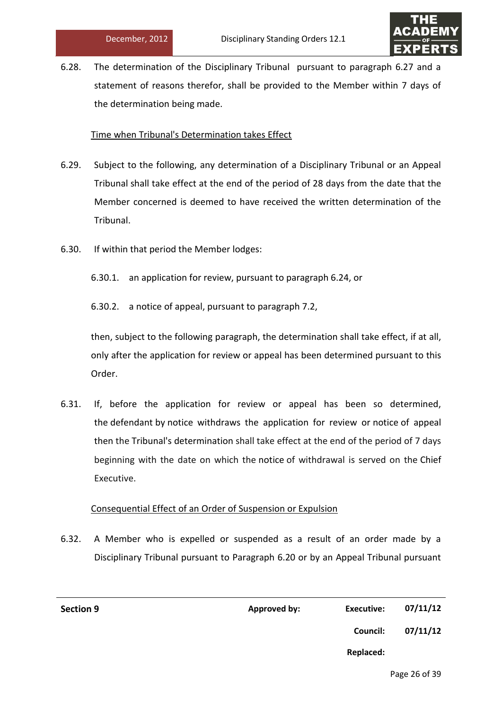

6.28. The determination of the Disciplinary Tribunal pursuant to paragraph 6.27 and a statement of reasons therefor, shall be provided to the Member within 7 days of the determination being made.

# Time when Tribunal's Determination takes Effect

- 6.29. Subject to the following, any determination of a Disciplinary Tribunal or an Appeal Tribunal shall take effect at the end of the period of 28 days from the date that the Member concerned is deemed to have received the written determination of the Tribunal.
- 6.30. If within that period the Member lodges:
	- 6.30.1. an application for review, pursuant to paragraph 6.24, or

6.30.2. a notice of appeal, pursuant to paragraph 7.2,

then, subject to the following paragraph, the determination shall take effect, if at all, only after the application for review or appeal has been determined pursuant to this Order.

6.31. If, before the application for review or appeal has been so determined, the defendant by notice withdraws the application for review or notice of appeal then the Tribunal's determination shall take effect at the end of the period of 7 days beginning with the date on which the notice of withdrawal is served on the Chief Executive.

# Consequential Effect of an Order of Suspension or Expulsion

6.32. A Member who is expelled or suspended as a result of an order made by a Disciplinary Tribunal pursuant to Paragraph 6.20 or by an Appeal Tribunal pursuant

| 07/11/12 | Executive:      | Approved by: | <b>Section 9</b> |
|----------|-----------------|--------------|------------------|
| 07/11/12 | <b>Council:</b> |              |                  |
|          | Replaced:       |              |                  |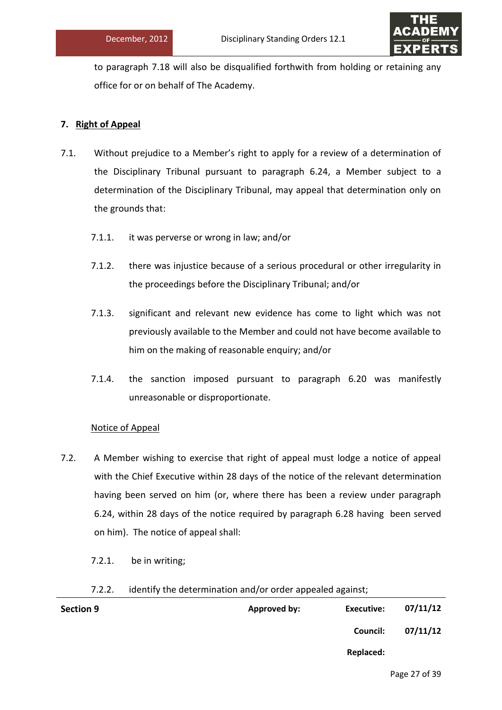

to paragraph 7.18 will also be disqualified forthwith from holding or retaining any office for or on behalf of The Academy.

# **7. Right of Appeal**

- 7.1. Without prejudice to a Member's right to apply for a review of a determination of the Disciplinary Tribunal pursuant to paragraph 6.24, a Member subject to a determination of the Disciplinary Tribunal, may appeal that determination only on the grounds that:
	- 7.1.1. it was perverse or wrong in law; and/or
	- 7.1.2. there was injustice because of a serious procedural or other irregularity in the proceedings before the Disciplinary Tribunal; and/or
	- 7.1.3. significant and relevant new evidence has come to light which was not previously available to the Member and could not have become available to him on the making of reasonable enquiry; and/or
	- 7.1.4. the sanction imposed pursuant to paragraph 6.20 was manifestly unreasonable or disproportionate.

# Notice of Appeal

- 7.2. A Member wishing to exercise that right of appeal must lodge a notice of appeal with the Chief Executive within 28 days of the notice of the relevant determination having been served on him (or, where there has been a review under paragraph 6.24, within 28 days of the notice required by paragraph 6.28 having been served on him). The notice of appeal shall:
	- 7.2.1. be in writing;

#### 7.2.2. identify the determination and/or order appealed against;

| <b>Section 9</b> | Approved by: | Executive: | 07/11/12 |
|------------------|--------------|------------|----------|
|                  |              | Council:   | 07/11/12 |
|                  |              | Replaced:  |          |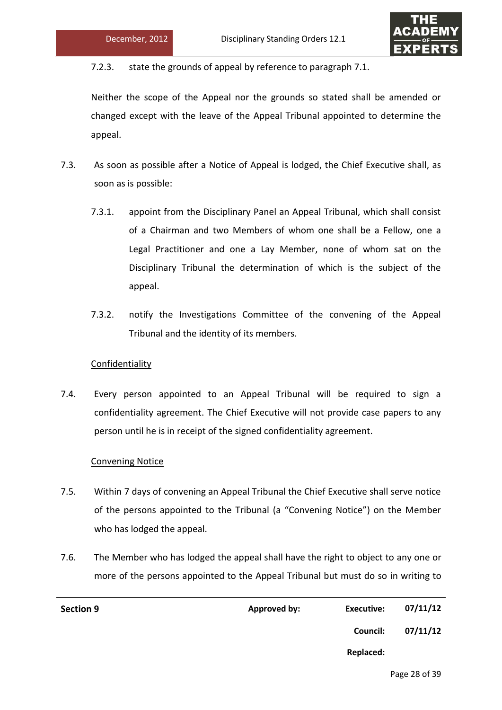

7.2.3. state the grounds of appeal by reference to paragraph 7.1.

Neither the scope of the Appeal nor the grounds so stated shall be amended or changed except with the leave of the Appeal Tribunal appointed to determine the appeal.

- 7.3. As soon as possible after a Notice of Appeal is lodged, the Chief Executive shall, as soon as is possible:
	- 7.3.1. appoint from the Disciplinary Panel an Appeal Tribunal, which shall consist of a Chairman and two Members of whom one shall be a Fellow, one a Legal Practitioner and one a Lay Member, none of whom sat on the Disciplinary Tribunal the determination of which is the subject of the appeal.
	- 7.3.2. notify the Investigations Committee of the convening of the Appeal Tribunal and the identity of its members.

# **Confidentiality**

7.4. Every person appointed to an Appeal Tribunal will be required to sign a confidentiality agreement. The Chief Executive will not provide case papers to any person until he is in receipt of the signed confidentiality agreement.

#### Convening Notice

- 7.5. Within 7 days of convening an Appeal Tribunal the Chief Executive shall serve notice of the persons appointed to the Tribunal (a "Convening Notice") on the Member who has lodged the appeal.
- 7.6. The Member who has lodged the appeal shall have the right to object to any one or more of the persons appointed to the Appeal Tribunal but must do so in writing to

| <b>Section 9</b> | Approved by: | Executive:      | 07/11/12 |
|------------------|--------------|-----------------|----------|
|                  |              | <b>Council:</b> | 07/11/12 |
|                  |              | Replaced:       |          |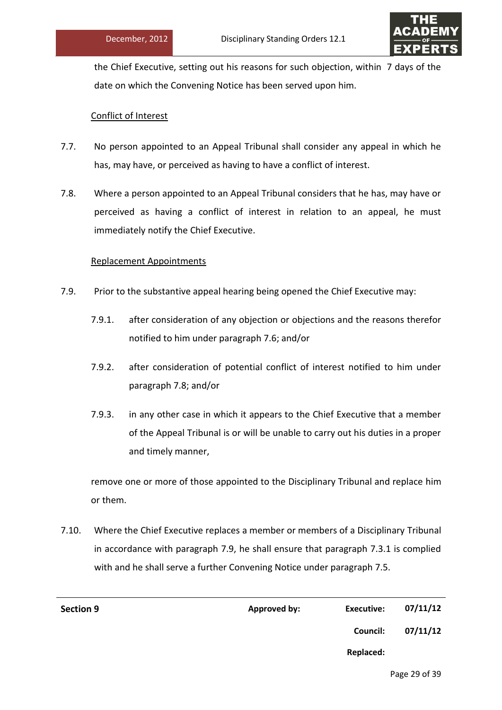

the Chief Executive, setting out his reasons for such objection, within 7 days of the date on which the Convening Notice has been served upon him.

# Conflict of Interest

- 7.7. No person appointed to an Appeal Tribunal shall consider any appeal in which he has, may have, or perceived as having to have a conflict of interest.
- 7.8. Where a person appointed to an Appeal Tribunal considers that he has, may have or perceived as having a conflict of interest in relation to an appeal, he must immediately notify the Chief Executive.

# Replacement Appointments

- 7.9. Prior to the substantive appeal hearing being opened the Chief Executive may:
	- 7.9.1. after consideration of any objection or objections and the reasons therefor notified to him under paragraph 7.6; and/or
	- 7.9.2. after consideration of potential conflict of interest notified to him under paragraph 7.8; and/or
	- 7.9.3. in any other case in which it appears to the Chief Executive that a member of the Appeal Tribunal is or will be unable to carry out his duties in a proper and timely manner,

remove one or more of those appointed to the Disciplinary Tribunal and replace him or them.

7.10. Where the Chief Executive replaces a member or members of a Disciplinary Tribunal in accordance with paragraph 7.9, he shall ensure that paragraph 7.3.1 is complied with and he shall serve a further Convening Notice under paragraph 7.5.

| <b>Section 9</b> | <b>Approved by:</b> | <b>Executive:</b> | 07/11/12 |
|------------------|---------------------|-------------------|----------|
|                  |                     | Council:          | 07/11/12 |
|                  |                     | Replaced:         |          |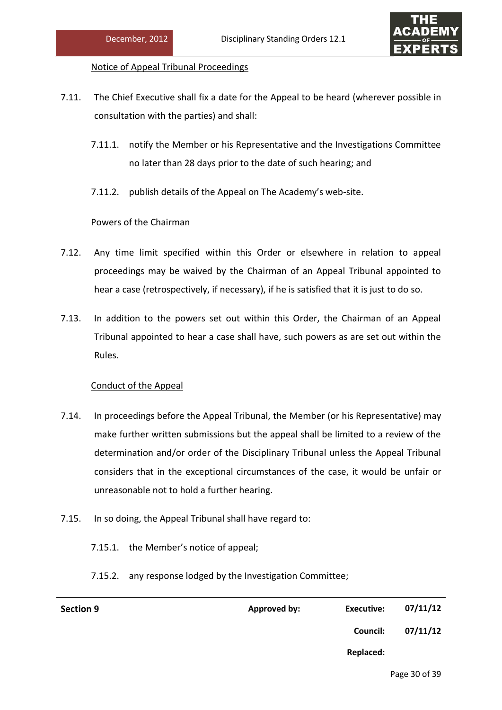

# Notice of Appeal Tribunal Proceedings

- 7.11. The Chief Executive shall fix a date for the Appeal to be heard (wherever possible in consultation with the parties) and shall:
	- 7.11.1. notify the Member or his Representative and the Investigations Committee no later than 28 days prior to the date of such hearing; and
	- 7.11.2. publish details of the Appeal on The Academy's web-site.

# Powers of the Chairman

- 7.12. Any time limit specified within this Order or elsewhere in relation to appeal proceedings may be waived by the Chairman of an Appeal Tribunal appointed to hear a case (retrospectively, if necessary), if he is satisfied that it is just to do so.
- 7.13. In addition to the powers set out within this Order, the Chairman of an Appeal Tribunal appointed to hear a case shall have, such powers as are set out within the Rules.

# Conduct of the Appeal

- 7.14. In proceedings before the Appeal Tribunal, the Member (or his Representative) may make further written submissions but the appeal shall be limited to a review of the determination and/or order of the Disciplinary Tribunal unless the Appeal Tribunal considers that in the exceptional circumstances of the case, it would be unfair or unreasonable not to hold a further hearing.
- 7.15. In so doing, the Appeal Tribunal shall have regard to:
	- 7.15.1. the Member's notice of appeal;
	- 7.15.2. any response lodged by the Investigation Committee;

| <b>Section 9</b> | Approved by: | Executive:      | 07/11/12 |
|------------------|--------------|-----------------|----------|
|                  |              | <b>Council:</b> | 07/11/12 |
|                  |              | Replaced:       |          |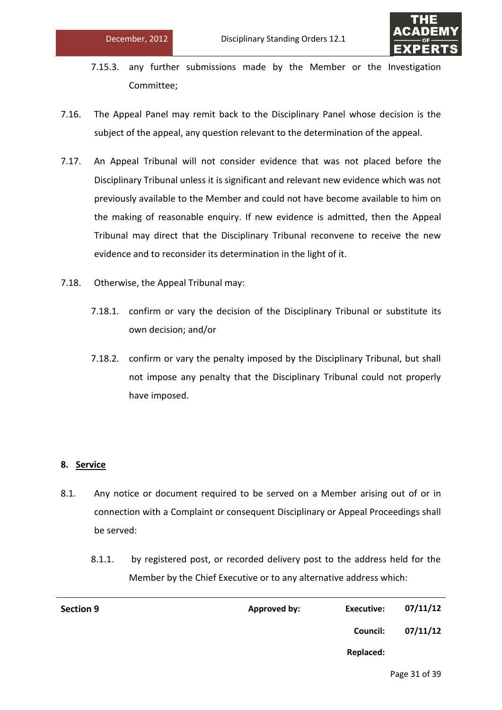

- 7.15.3. any further submissions made by the Member or the Investigation Committee;
- 7.16. The Appeal Panel may remit back to the Disciplinary Panel whose decision is the subject of the appeal, any question relevant to the determination of the appeal.
- 7.17. An Appeal Tribunal will not consider evidence that was not placed before the Disciplinary Tribunal unless it is significant and relevant new evidence which was not previously available to the Member and could not have become available to him on the making of reasonable enquiry. If new evidence is admitted, then the Appeal Tribunal may direct that the Disciplinary Tribunal reconvene to receive the new evidence and to reconsider its determination in the light of it.
- 7.18. Otherwise, the Appeal Tribunal may:
	- 7.18.1. confirm or vary the decision of the Disciplinary Tribunal or substitute its own decision; and/or
	- 7.18.2. confirm or vary the penalty imposed by the Disciplinary Tribunal, but shall not impose any penalty that the Disciplinary Tribunal could not properly have imposed.

# **8. Service**

- 8.1. Any notice or document required to be served on a Member arising out of or in connection with a Complaint or consequent Disciplinary or Appeal Proceedings shall be served:
	- 8.1.1. by registered post, or recorded delivery post to the address held for the Member by the Chief Executive or to any alternative address which:

| <b>Section 9</b> | Approved by: | <b>Executive:</b> | 07/11/12 |
|------------------|--------------|-------------------|----------|
|                  |              | Council:          | 07/11/12 |
|                  |              | Replaced:         |          |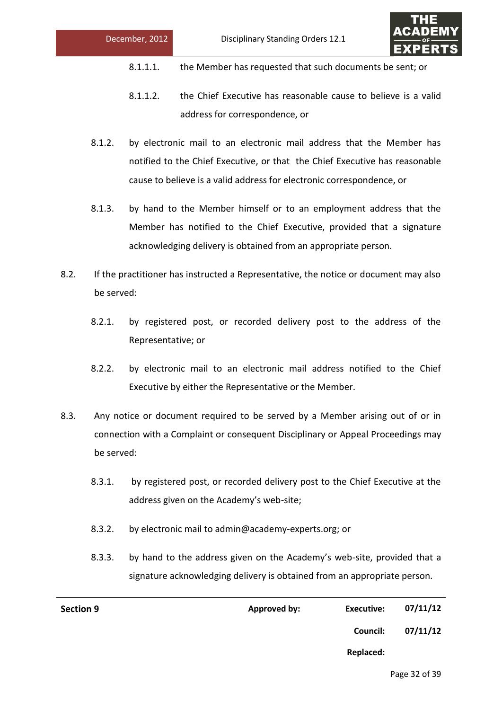

- 8.1.1.1. the Member has requested that such documents be sent; or
- 8.1.1.2. the Chief Executive has reasonable cause to believe is a valid address for correspondence, or
- 8.1.2. by electronic mail to an electronic mail address that the Member has notified to the Chief Executive, or that the Chief Executive has reasonable cause to believe is a valid address for electronic correspondence, or
- 8.1.3. by hand to the Member himself or to an employment address that the Member has notified to the Chief Executive, provided that a signature acknowledging delivery is obtained from an appropriate person.
- 8.2. If the practitioner has instructed a Representative, the notice or document may also be served:
	- 8.2.1. by registered post, or recorded delivery post to the address of the Representative; or
	- 8.2.2. by electronic mail to an electronic mail address notified to the Chief Executive by either the Representative or the Member.
- 8.3. Any notice or document required to be served by a Member arising out of or in connection with a Complaint or consequent Disciplinary or Appeal Proceedings may be served:
	- 8.3.1. by registered post, or recorded delivery post to the Chief Executive at the address given on the Academy's web-site;
	- 8.3.2. by electronic mail to admin@academy-experts.org; or
	- 8.3.3. by hand to the address given on the Academy's web-site, provided that a signature acknowledging delivery is obtained from an appropriate person.

| <b>Section 9</b> | <b>Approved by:</b> | <b>Executive:</b> | 07/11/12 |
|------------------|---------------------|-------------------|----------|
|                  |                     | Council:          | 07/11/12 |
|                  |                     | Replaced:         |          |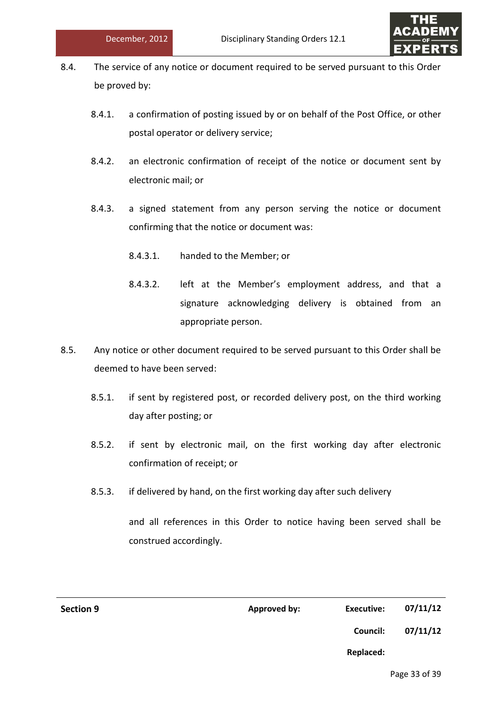

- 8.4. The service of any notice or document required to be served pursuant to this Order be proved by:
	- 8.4.1. a confirmation of posting issued by or on behalf of the Post Office, or other postal operator or delivery service;
	- 8.4.2. an electronic confirmation of receipt of the notice or document sent by electronic mail; or
	- 8.4.3. a signed statement from any person serving the notice or document confirming that the notice or document was:
		- 8.4.3.1. handed to the Member; or
		- 8.4.3.2. left at the Member's employment address, and that a signature acknowledging delivery is obtained from an appropriate person.
- 8.5. Any notice or other document required to be served pursuant to this Order shall be deemed to have been served:
	- 8.5.1. if sent by registered post, or recorded delivery post, on the third working day after posting; or
	- 8.5.2. if sent by electronic mail, on the first working day after electronic confirmation of receipt; or
	- 8.5.3. if delivered by hand, on the first working day after such delivery

and all references in this Order to notice having been served shall be construed accordingly.

| <b>Section 9</b> | <b>Approved by:</b> | <b>Executive:</b> | 07/11/12 |
|------------------|---------------------|-------------------|----------|
|                  |                     | Council:          | 07/11/12 |
|                  |                     | Replaced:         |          |
|                  |                     |                   |          |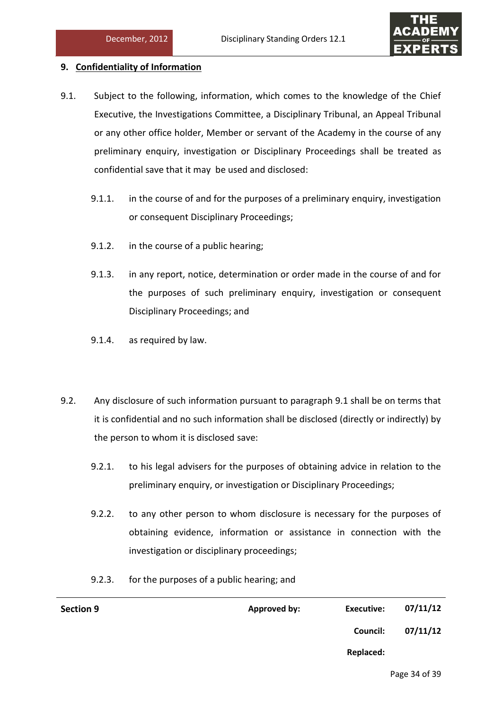

# **9. Confidentiality of Information**

- 9.1. Subject to the following, information, which comes to the knowledge of the Chief Executive, the Investigations Committee, a Disciplinary Tribunal, an Appeal Tribunal or any other office holder, Member or servant of the Academy in the course of any preliminary enquiry, investigation or Disciplinary Proceedings shall be treated as confidential save that it may be used and disclosed:
	- 9.1.1. in the course of and for the purposes of a preliminary enquiry, investigation or consequent Disciplinary Proceedings;
	- 9.1.2. in the course of a public hearing;
	- 9.1.3. in any report, notice, determination or order made in the course of and for the purposes of such preliminary enquiry, investigation or consequent Disciplinary Proceedings; and
	- 9.1.4. as required by law.
- 9.2. Any disclosure of such information pursuant to paragraph 9.1 shall be on terms that it is confidential and no such information shall be disclosed (directly or indirectly) by the person to whom it is disclosed save:
	- 9.2.1. to his legal advisers for the purposes of obtaining advice in relation to the preliminary enquiry, or investigation or Disciplinary Proceedings;
	- 9.2.2. to any other person to whom disclosure is necessary for the purposes of obtaining evidence, information or assistance in connection with the investigation or disciplinary proceedings;
	- 9.2.3. for the purposes of a public hearing; and

| <b>Section 9</b> | Approved by: | Executive: | 07/11/12 |
|------------------|--------------|------------|----------|
|                  |              | Council:   | 07/11/12 |
|                  |              | Replaced:  |          |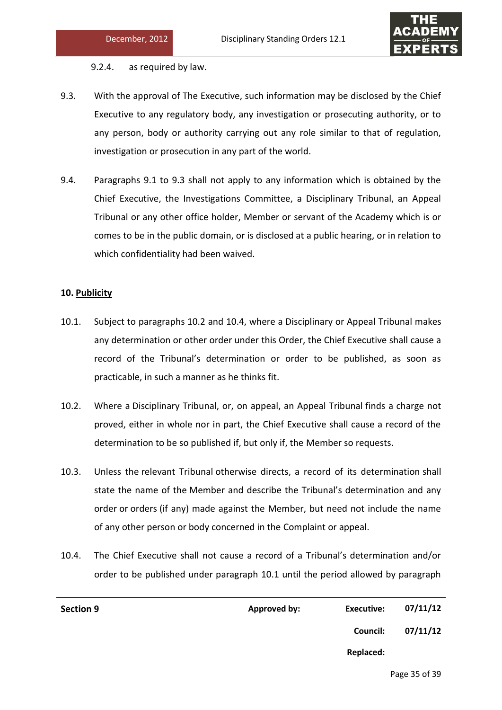

9.2.4. as required by law.

- 9.3. With the approval of The Executive, such information may be disclosed by the Chief Executive to any regulatory body, any investigation or prosecuting authority, or to any person, body or authority carrying out any role similar to that of regulation, investigation or prosecution in any part of the world.
- 9.4. Paragraphs 9.1 to 9.3 shall not apply to any information which is obtained by the Chief Executive, the Investigations Committee, a Disciplinary Tribunal, an Appeal Tribunal or any other office holder, Member or servant of the Academy which is or comes to be in the public domain, or is disclosed at a public hearing, or in relation to which confidentiality had been waived.

# **10. Publicity**

- 10.1. Subject to paragraphs 10.2 and 10.4, where a Disciplinary or Appeal Tribunal makes any determination or other order under this Order, the Chief Executive shall cause a record of the Tribunal's determination or order to be published, as soon as practicable, in such a manner as he thinks fit.
- 10.2. Where a Disciplinary Tribunal, or, on appeal, an Appeal Tribunal finds a charge not proved, either in whole nor in part, the Chief Executive shall cause a record of the determination to be so published if, but only if, the Member so requests.
- 10.3. Unless the relevant Tribunal otherwise directs, a record of its determination shall state the name of the Member and describe the Tribunal's determination and any order or orders (if any) made against the Member, but need not include the name of any other person or body concerned in the Complaint or appeal.
- 10.4. The Chief Executive shall not cause a record of a Tribunal's determination and/or order to be published under paragraph 10.1 until the period allowed by paragraph

| <b>Section 9</b> | Approved by: | Executive:      | 07/11/12 |
|------------------|--------------|-----------------|----------|
|                  |              | <b>Council:</b> | 07/11/12 |
|                  |              | Replaced:       |          |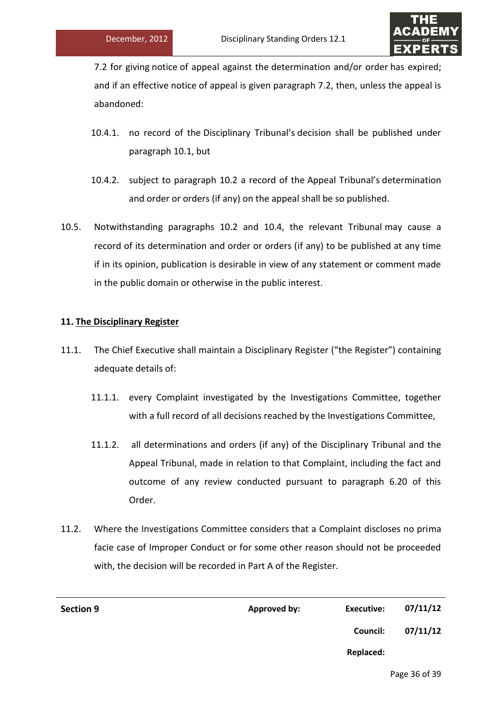

7.2 for giving notice of appeal against the determination and/or order has expired; and if an effective notice of appeal is given paragraph 7.2, then, unless the appeal is abandoned:

- 10.4.1. no record of the Disciplinary Tribunal's decision shall be published under paragraph 10.1, but
- 10.4.2. subject to paragraph 10.2 a record of the Appeal Tribunal's determination and order or orders (if any) on the appeal shall be so published.
- 10.5. Notwithstanding paragraphs 10.2 and 10.4, the relevant Tribunal may cause a record of its determination and order or orders (if any) to be published at any time if in its opinion, publication is desirable in view of any statement or comment made in the public domain or otherwise in the public interest.

# **11. The Disciplinary Register**

- 11.1. The Chief Executive shall maintain a Disciplinary Register ("the Register") containing adequate details of:
	- 11.1.1. every Complaint investigated by the Investigations Committee, together with a full record of all decisions reached by the Investigations Committee,
	- 11.1.2. all determinations and orders (if any) of the Disciplinary Tribunal and the Appeal Tribunal, made in relation to that Complaint, including the fact and outcome of any review conducted pursuant to paragraph 6.20 of this Order.
- 11.2. Where the Investigations Committee considers that a Complaint discloses no prima facie case of Improper Conduct or for some other reason should not be proceeded with, the decision will be recorded in Part A of the Register.

| <b>Section 9</b> | <b>Approved by:</b> | <b>Executive:</b> | 07/11/12 |
|------------------|---------------------|-------------------|----------|
|                  |                     | Council:          | 07/11/12 |
|                  |                     | Replaced:         |          |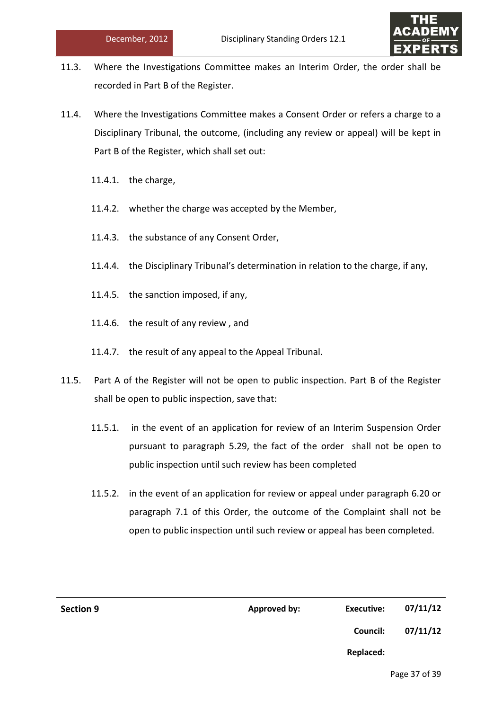

- 11.3. Where the Investigations Committee makes an Interim Order, the order shall be recorded in Part B of the Register.
- 11.4. Where the Investigations Committee makes a Consent Order or refers a charge to a Disciplinary Tribunal, the outcome, (including any review or appeal) will be kept in Part B of the Register, which shall set out:
	- 11.4.1. the charge,
	- 11.4.2. whether the charge was accepted by the Member,
	- 11.4.3. the substance of any Consent Order,
	- 11.4.4. the Disciplinary Tribunal's determination in relation to the charge, if any,
	- 11.4.5. the sanction imposed, if any,
	- 11.4.6. the result of any review , and
	- 11.4.7. the result of any appeal to the Appeal Tribunal.
- 11.5. Part A of the Register will not be open to public inspection. Part B of the Register shall be open to public inspection, save that:
	- 11.5.1. in the event of an application for review of an Interim Suspension Order pursuant to paragraph 5.29, the fact of the order shall not be open to public inspection until such review has been completed
	- 11.5.2. in the event of an application for review or appeal under paragraph 6.20 or paragraph 7.1 of this Order, the outcome of the Complaint shall not be open to public inspection until such review or appeal has been completed.

| <b>Section 9</b> | Approved by: | <b>Executive:</b> | 07/11/12 |
|------------------|--------------|-------------------|----------|
|                  |              | Council:          | 07/11/12 |
|                  |              | <b>Replaced:</b>  |          |
|                  |              |                   |          |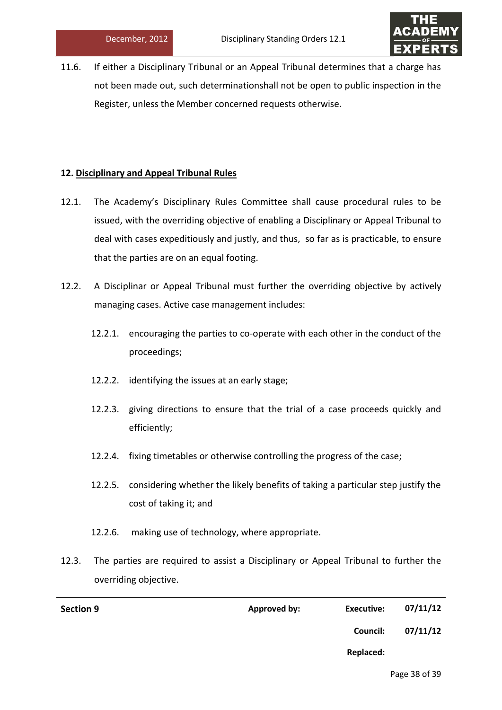

11.6. If either a Disciplinary Tribunal or an Appeal Tribunal determines that a charge has not been made out, such determinationshall not be open to public inspection in the Register, unless the Member concerned requests otherwise.

# **12. Disciplinary and Appeal Tribunal Rules**

- 12.1. The Academy's Disciplinary Rules Committee shall cause procedural rules to be issued, with the overriding objective of enabling a Disciplinary or Appeal Tribunal to deal with cases expeditiously and justly, and thus, so far as is practicable, to ensure that the parties are on an equal footing.
- 12.2. A Disciplinar or Appeal Tribunal must further the overriding objective by actively managing cases. Active case management includes:
	- 12.2.1. encouraging the parties to co-operate with each other in the conduct of the proceedings;
	- 12.2.2. identifying the issues at an early stage;
	- 12.2.3. giving directions to ensure that the trial of a case proceeds quickly and efficiently;
	- 12.2.4. fixing timetables or otherwise controlling the progress of the case;
	- 12.2.5. considering whether the likely benefits of taking a particular step justify the cost of taking it; and
	- 12.2.6. making use of technology, where appropriate.
- 12.3. The parties are required to assist a Disciplinary or Appeal Tribunal to further the overriding objective.

| 07/11/12 | Executive: | Approved by: | <b>Section 9</b> |
|----------|------------|--------------|------------------|
| 07/11/12 | Council:   |              |                  |
|          | Replaced:  |              |                  |